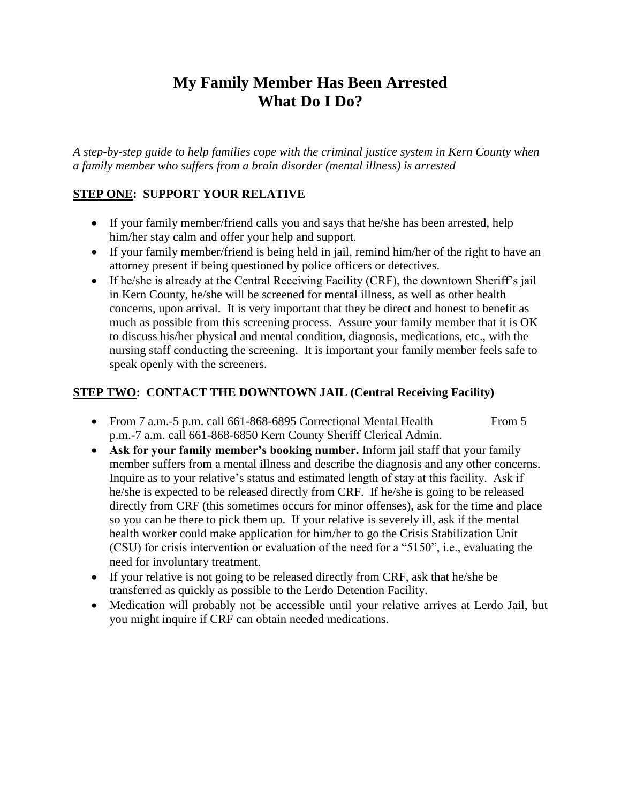# **My Family Member Has Been Arrested What Do I Do?**

*A step-by-step guide to help families cope with the criminal justice system in Kern County when a family member who suffers from a brain disorder (mental illness) is arrested*

## **STEP ONE: SUPPORT YOUR RELATIVE**

- If your family member/friend calls you and says that he/she has been arrested, help him/her stay calm and offer your help and support.
- If your family member/friend is being held in jail, remind him/her of the right to have an attorney present if being questioned by police officers or detectives.
- If he/she is already at the Central Receiving Facility (CRF), the downtown Sheriff"s jail in Kern County, he/she will be screened for mental illness, as well as other health concerns, upon arrival. It is very important that they be direct and honest to benefit as much as possible from this screening process. Assure your family member that it is OK to discuss his/her physical and mental condition, diagnosis, medications, etc., with the nursing staff conducting the screening. It is important your family member feels safe to speak openly with the screeners.

## **STEP TWO: CONTACT THE DOWNTOWN JAIL (Central Receiving Facility)**

- From 7 a.m.-5 p.m. call 661-868-6895 Correctional Mental Health From 5 p.m.-7 a.m. call 661-868-6850 Kern County Sheriff Clerical Admin.
- **Ask for your family member's booking number.** Inform jail staff that your family member suffers from a mental illness and describe the diagnosis and any other concerns. Inquire as to your relative"s status and estimated length of stay at this facility. Ask if he/she is expected to be released directly from CRF. If he/she is going to be released directly from CRF (this sometimes occurs for minor offenses), ask for the time and place so you can be there to pick them up. If your relative is severely ill, ask if the mental health worker could make application for him/her to go the Crisis Stabilization Unit (CSU) for crisis intervention or evaluation of the need for a "5150", i.e., evaluating the need for involuntary treatment.
- If your relative is not going to be released directly from CRF, ask that he/she be transferred as quickly as possible to the Lerdo Detention Facility.
- Medication will probably not be accessible until your relative arrives at Lerdo Jail, but you might inquire if CRF can obtain needed medications.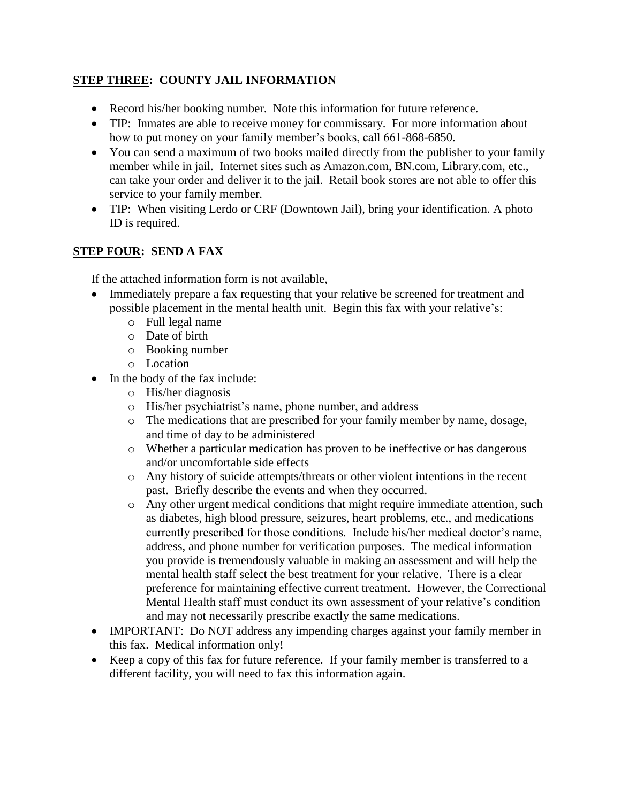## **STEP THREE: COUNTY JAIL INFORMATION**

- Record his/her booking number. Note this information for future reference.
- TIP: Inmates are able to receive money for commissary. For more information about how to put money on your family member's books, call 661-868-6850.
- You can send a maximum of two books mailed directly from the publisher to your family member while in jail. Internet sites such as Amazon.com, BN.com, Library.com, etc., can take your order and deliver it to the jail. Retail book stores are not able to offer this service to your family member.
- TIP: When visiting Lerdo or CRF (Downtown Jail), bring your identification. A photo ID is required.

## **STEP FOUR: SEND A FAX**

If the attached information form is not available,

- Immediately prepare a fax requesting that your relative be screened for treatment and possible placement in the mental health unit. Begin this fax with your relative"s:
	- o Full legal name
	- o Date of birth
	- o Booking number
	- o Location
- In the body of the fax include:
	- o His/her diagnosis
	- o His/her psychiatrist"s name, phone number, and address
	- o The medications that are prescribed for your family member by name, dosage, and time of day to be administered
	- o Whether a particular medication has proven to be ineffective or has dangerous and/or uncomfortable side effects
	- o Any history of suicide attempts/threats or other violent intentions in the recent past. Briefly describe the events and when they occurred.
	- o Any other urgent medical conditions that might require immediate attention, such as diabetes, high blood pressure, seizures, heart problems, etc., and medications currently prescribed for those conditions. Include his/her medical doctor's name, address, and phone number for verification purposes. The medical information you provide is tremendously valuable in making an assessment and will help the mental health staff select the best treatment for your relative. There is a clear preference for maintaining effective current treatment. However, the Correctional Mental Health staff must conduct its own assessment of your relative"s condition and may not necessarily prescribe exactly the same medications.
- IMPORTANT: Do NOT address any impending charges against your family member in this fax. Medical information only!
- Keep a copy of this fax for future reference. If your family member is transferred to a different facility, you will need to fax this information again.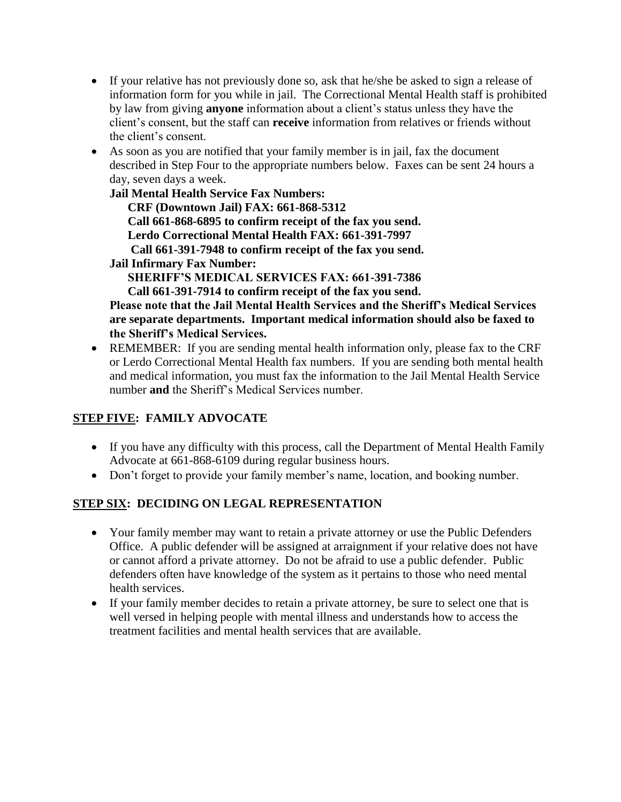- If your relative has not previously done so, ask that he/she be asked to sign a release of information form for you while in jail. The Correctional Mental Health staff is prohibited by law from giving **anyone** information about a client"s status unless they have the client"s consent, but the staff can **receive** information from relatives or friends without the client"s consent.
- As soon as you are notified that your family member is in jail, fax the document described in Step Four to the appropriate numbers below. Faxes can be sent 24 hours a day, seven days a week.

**Jail Mental Health Service Fax Numbers: CRF (Downtown Jail) FAX: 661-868-5312 Call 661-868-6895 to confirm receipt of the fax you send. Lerdo Correctional Mental Health FAX: 661-391-7997 Call 661-391-7948 to confirm receipt of the fax you send. Jail Infirmary Fax Number: SHERIFF'S MEDICAL SERVICES FAX: 661-391-7386 Call 661-391-7914 to confirm receipt of the fax you send. Please note that the Jail Mental Health Services and the Sheriff's Medical Services are separate departments. Important medical information should also be faxed to the Sheriff's Medical Services.**

 REMEMBER: If you are sending mental health information only, please fax to the CRF or Lerdo Correctional Mental Health fax numbers. If you are sending both mental health and medical information, you must fax the information to the Jail Mental Health Service number **and** the Sheriff"s Medical Services number.

## **STEP FIVE: FAMILY ADVOCATE**

- If you have any difficulty with this process, call the Department of Mental Health Family Advocate at 661-868-6109 during regular business hours.
- Don't forget to provide your family member's name, location, and booking number.

## **STEP SIX: DECIDING ON LEGAL REPRESENTATION**

- Your family member may want to retain a private attorney or use the Public Defenders Office. A public defender will be assigned at arraignment if your relative does not have or cannot afford a private attorney. Do not be afraid to use a public defender. Public defenders often have knowledge of the system as it pertains to those who need mental health services.
- If your family member decides to retain a private attorney, be sure to select one that is well versed in helping people with mental illness and understands how to access the treatment facilities and mental health services that are available.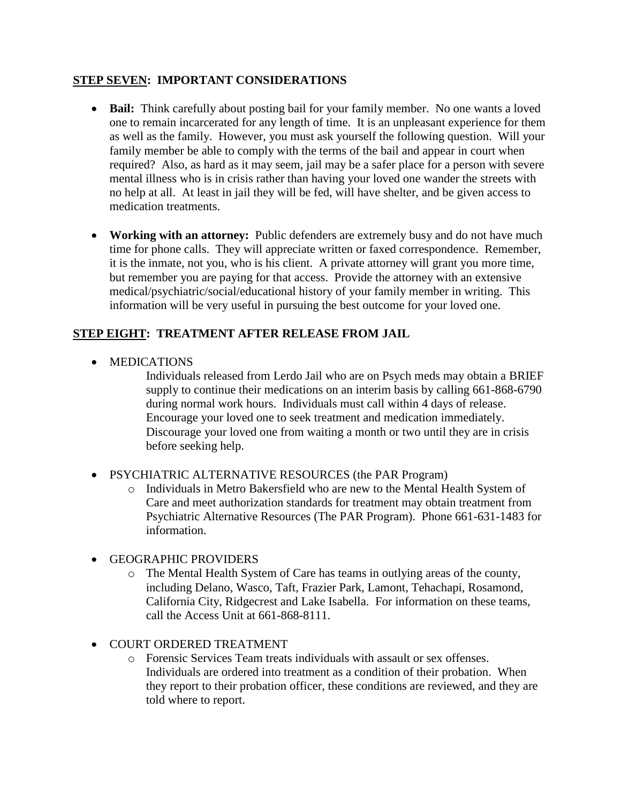### **STEP SEVEN: IMPORTANT CONSIDERATIONS**

- **Bail:** Think carefully about posting bail for your family member. No one wants a loved one to remain incarcerated for any length of time. It is an unpleasant experience for them as well as the family. However, you must ask yourself the following question. Will your family member be able to comply with the terms of the bail and appear in court when required? Also, as hard as it may seem, jail may be a safer place for a person with severe mental illness who is in crisis rather than having your loved one wander the streets with no help at all. At least in jail they will be fed, will have shelter, and be given access to medication treatments.
- **Working with an attorney:** Public defenders are extremely busy and do not have much time for phone calls. They will appreciate written or faxed correspondence. Remember, it is the inmate, not you, who is his client. A private attorney will grant you more time, but remember you are paying for that access. Provide the attorney with an extensive medical/psychiatric/social/educational history of your family member in writing. This information will be very useful in pursuing the best outcome for your loved one.

## **STEP EIGHT: TREATMENT AFTER RELEASE FROM JAIL**

• MEDICATIONS

Individuals released from Lerdo Jail who are on Psych meds may obtain a BRIEF supply to continue their medications on an interim basis by calling 661-868-6790 during normal work hours. Individuals must call within 4 days of release. Encourage your loved one to seek treatment and medication immediately. Discourage your loved one from waiting a month or two until they are in crisis before seeking help.

- PSYCHIATRIC ALTERNATIVE RESOURCES (the PAR Program)
	- o Individuals in Metro Bakersfield who are new to the Mental Health System of Care and meet authorization standards for treatment may obtain treatment from Psychiatric Alternative Resources (The PAR Program). Phone 661-631-1483 for information.
- GEOGRAPHIC PROVIDERS
	- o The Mental Health System of Care has teams in outlying areas of the county, including Delano, Wasco, Taft, Frazier Park, Lamont, Tehachapi, Rosamond, California City, Ridgecrest and Lake Isabella. For information on these teams, call the Access Unit at 661-868-8111.
- COURT ORDERED TREATMENT
	- o Forensic Services Team treats individuals with assault or sex offenses. Individuals are ordered into treatment as a condition of their probation. When they report to their probation officer, these conditions are reviewed, and they are told where to report.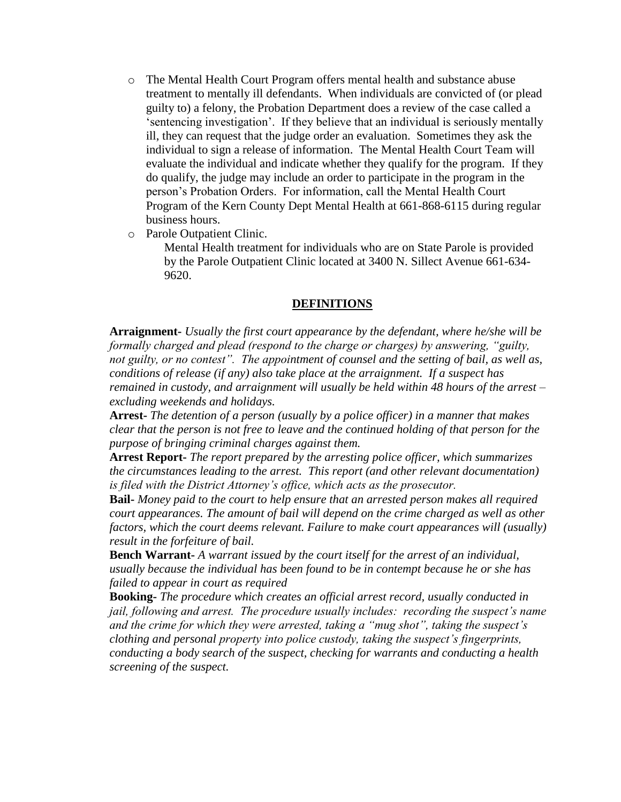- o The Mental Health Court Program offers mental health and substance abuse treatment to mentally ill defendants. When individuals are convicted of (or plead guilty to) a felony, the Probation Department does a review of the case called a "sentencing investigation". If they believe that an individual is seriously mentally ill, they can request that the judge order an evaluation. Sometimes they ask the individual to sign a release of information. The Mental Health Court Team will evaluate the individual and indicate whether they qualify for the program. If they do qualify, the judge may include an order to participate in the program in the person"s Probation Orders. For information, call the Mental Health Court Program of the Kern County Dept Mental Health at 661-868-6115 during regular business hours.
- o Parole Outpatient Clinic.

Mental Health treatment for individuals who are on State Parole is provided by the Parole Outpatient Clinic located at 3400 N. Sillect Avenue 661-634- 9620.

### **DEFINITIONS**

**Arraignment-** *Usually the first court appearance by the defendant, where he/she will be formally charged and plead (respond to the charge or charges) by answering, "guilty, not guilty, or no contest". The appointment of counsel and the setting of bail, as well as, conditions of release (if any) also take place at the arraignment. If a suspect has remained in custody, and arraignment will usually be held within 48 hours of the arrest – excluding weekends and holidays.*

**Arrest-** *The detention of a person (usually by a police officer) in a manner that makes clear that the person is not free to leave and the continued holding of that person for the purpose of bringing criminal charges against them.*

**Arrest Report-** *The report prepared by the arresting police officer, which summarizes the circumstances leading to the arrest. This report (and other relevant documentation) is filed with the District Attorney's office, which acts as the prosecutor.*

**Bail-** *Money paid to the court to help ensure that an arrested person makes all required court appearances. The amount of bail will depend on the crime charged as well as other factors, which the court deems relevant. Failure to make court appearances will (usually) result in the forfeiture of bail.*

**Bench Warrant-** *A warrant issued by the court itself for the arrest of an individual, usually because the individual has been found to be in contempt because he or she has failed to appear in court as required*

**Booking-** *The procedure which creates an official arrest record, usually conducted in jail, following and arrest. The procedure usually includes: recording the suspect's name and the crime for which they were arrested, taking a "mug shot", taking the suspect's clothing and personal property into police custody, taking the suspect's fingerprints, conducting a body search of the suspect, checking for warrants and conducting a health screening of the suspect.*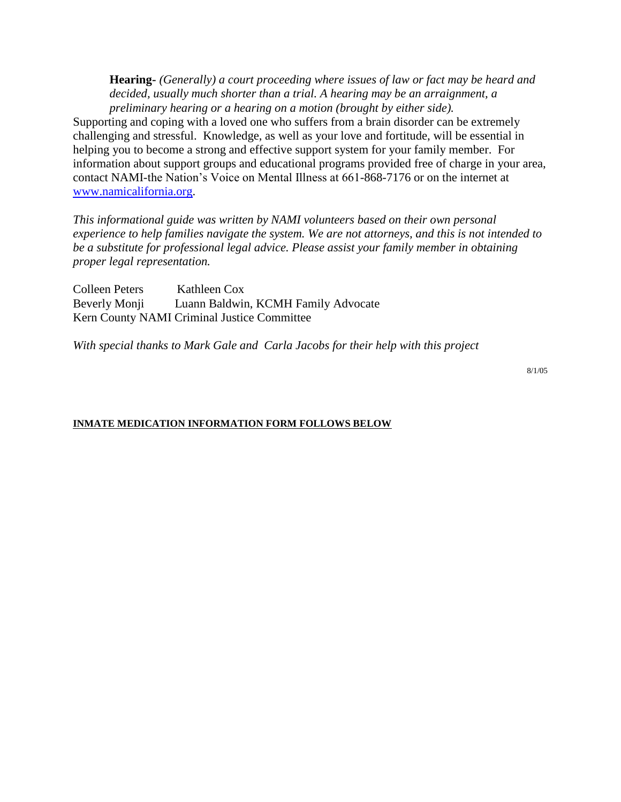**Hearing-** *(Generally) a court proceeding where issues of law or fact may be heard and decided, usually much shorter than a trial. A hearing may be an arraignment, a preliminary hearing or a hearing on a motion (brought by either side).*

Supporting and coping with a loved one who suffers from a brain disorder can be extremely challenging and stressful. Knowledge, as well as your love and fortitude, will be essential in helping you to become a strong and effective support system for your family member. For information about support groups and educational programs provided free of charge in your area, contact NAMI-the Nation"s Voice on Mental Illness at 661-868-7176 or on the internet at [www.namicalifornia.org.](http://www.namicalifornia.org/)

*This informational guide was written by NAMI volunteers based on their own personal experience to help families navigate the system. We are not attorneys, and this is not intended to be a substitute for professional legal advice. Please assist your family member in obtaining proper legal representation.*

Colleen Peters Kathleen Cox Beverly Monji Luann Baldwin, KCMH Family Advocate Kern County NAMI Criminal Justice Committee

*With special thanks to Mark Gale and Carla Jacobs for their help with this project*

8/1/05

#### **INMATE MEDICATION INFORMATION FORM FOLLOWS BELOW**